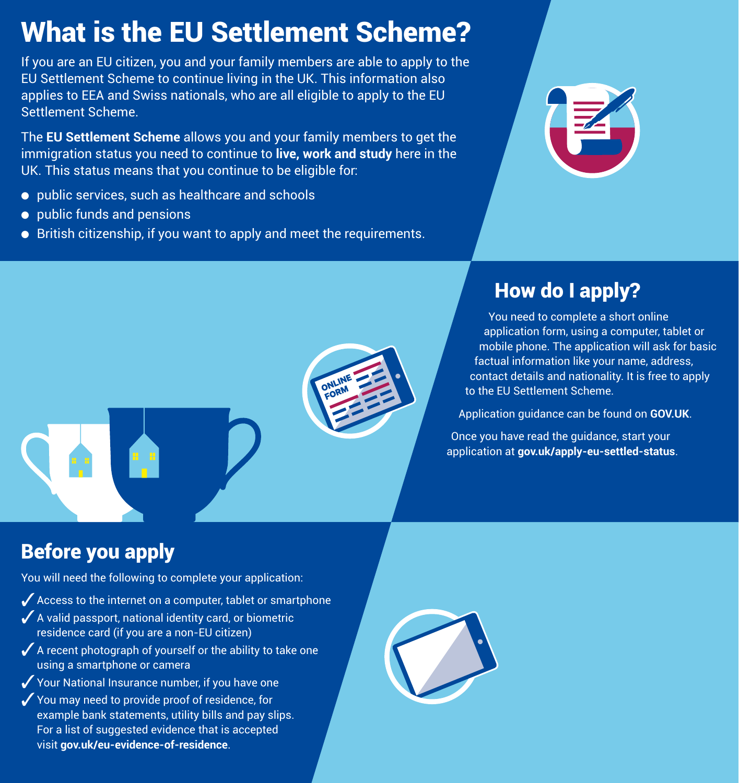# What is the EU Settlement Scheme?

applies to EEA and Swiss nationals, who are all eligible to apply to the EU<br>Settlement Scheme.<br>. If you are an EU citizen, you and your family members are able to apply to the EU Settlement Scheme to continue living in the UK. This information also Settlement Scheme.

The **EU Settlement Scheme** allows you and your farmly<br>mmigration status you need to continue to **live, work a**<br>JK. This status means that you continue to be eligible f The **EU Settlement Scheme** allows you and your family members to get the immigration status you need to continue to **live, work and study** here in the UK. This status means that you continue to be eligible for:

- public services, such as healthcare and schools
- $\bullet$  public funds and pensions
- British citizenship, if you want to apply and meet the requirements.



## How do I apply?

Founded details and nationality. It is need<br>to the EU Settlement Scheme. You need to complete a short online application form, using a computer, tablet or mobile phone. The application will ask for basic factual information like your name, address, contact details and nationality. It is free to apply to the EU Settlement Scheme.

Application guidance can be found on **GOV.UK**.

Once you have read the guidance, start your application at **gov.uk/apply-eu-settled-status**.

### Before you apply

You will need the following to complete your application:

- $\blacktriangleright$  Access to the internet on a computer, tablet or smartphone
- $\boldsymbol{J}$  A valid passport, national identity card, or biometric residence card (if you are a non-EU citizen)
- $\blacktriangleright$  A recent photograph of yourself or the ability to take one using a smartphone or camera using a smartphone or camera
- $\sqrt{}$  Your National Insurance number, if you have one
- $\sqrt{}$  You may need to provide proof of residence, for example bank statements, utility bills and pay slips. For a list of suggested evidence that is accepted visit **gov.uk/eu-evidence-of-residence**.